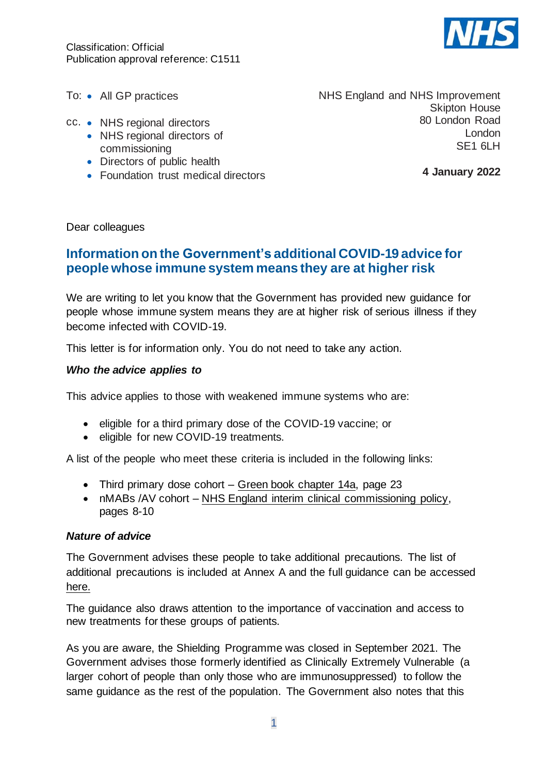

To: • All GP practices

- cc. NHS regional directors
	- NHS regional directors of commissioning
	- Directors of public health
	- Foundation trust medical directors

NHS England and NHS Improvement Skipton House 80 London Road London SE1 6LH

**4 January 2022**

Dear colleagues

# **Information on the Government's additional COVID-19 advice for people whose immune system means they are at higher risk**

We are writing to let you know that the Government has provided new guidance for people whose immune system means they are at higher risk of serious illness if they become infected with COVID-19.

This letter is for information only. You do not need to take any action.

### *Who the advice applies to*

This advice applies to those with weakened immune systems who are:

- eligible for a third primary dose of the COVID-19 vaccine; or
- eligible for new COVID-19 treatments.

A list of the people who meet these criteria is included in the following links:

- Third primary dose cohort Green book [chapter](https://assets.publishing.service.gov.uk/government/uploads/system/uploads/attachment_data/file/1040677/Greenbook-chapter-14a-14Dec21.pdf) 14a, page 23
- nMABs /AV cohort NHS England interim clinical [commissioning](https://www.england.nhs.uk/coronavirus/publication/interim-clinical-commissioning-policy-neutralising-monoclonal-antibodies-or-antivirals-for-non-hospitalised-patients-with-covid-19/) policy, pages 8-10

#### *Nature of advice*

The Government advises these people to take additional precautions. The list of additional precautions is included at Annex A and the full guidance can be accessed [here.](https://www.gov.uk/government/publications/covid-19-guidance-for-people-whose-immune-system-means-they-are-at-higher-risk)

The guidance also draws attention to the importance of vaccination and access to new treatments for these groups of patients.

As you are aware, the Shielding Programme was closed in September 2021. The Government advises those formerly identified as Clinically Extremely Vulnerable (a larger cohort of people than only those who are immunosuppressed) to follow the same guidance as the rest of the population. The Government also notes that this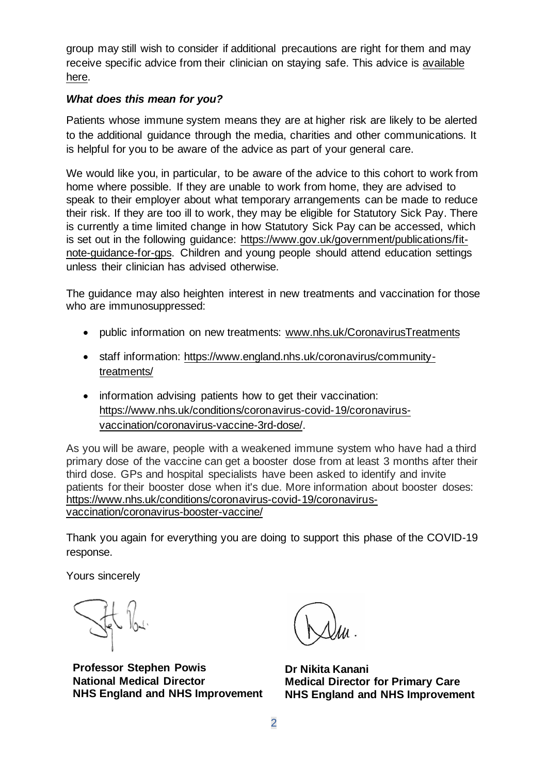group may still wish to consider if additional precautions are right for them and may receive specific advice from their clinician on staying safe. This advice is [available](https://www.gov.uk/government/publications/guidance-on-shielding-and-protecting-extremely-vulnerable-persons-from-covid-19)  [here.](https://www.gov.uk/government/publications/guidance-on-shielding-and-protecting-extremely-vulnerable-persons-from-covid-19)

## *What does this mean for you?*

Patients whose immune system means they are at higher risk are likely to be alerted to the additional guidance through the media, charities and other communications. It is helpful for you to be aware of the advice as part of your general care.

We would like you, in particular, to be aware of the advice to this cohort to work from home where possible. If they are unable to work from home, they are advised to speak to their employer about what temporary arrangements can be made to reduce their risk. If they are too ill to work, they may be eligible for Statutory Sick Pay. There is currently a time limited change in how Statutory Sick Pay can be accessed, which is set out in the following guidance: [https://www.gov.uk/government/publications/fit](https://www.gov.uk/government/publications/fit-note-guidance-for-gps)[note-guidance-for-gps.](https://www.gov.uk/government/publications/fit-note-guidance-for-gps) Children and young people should attend education settings unless their clinician has advised otherwise.

The guidance may also heighten interest in new treatments and vaccination for those who are immunosuppressed:

- public information on new treatments: [www.nhs.uk/CoronavirusTreatments](http://www.nhs.uk/CoronavirusTreatments)
- staff information: [https://www.england.nhs.uk/coronavirus/community](https://www.england.nhs.uk/coronavirus/community-treatments/)[treatments/](https://www.england.nhs.uk/coronavirus/community-treatments/)
- information advising patients how to get their vaccination: [https://www.nhs.uk/conditions/coronavirus-covid-19/coronavirus](https://www.nhs.uk/conditions/coronavirus-covid-19/coronavirus-vaccination/coronavirus-vaccine-3rd-dose/)[vaccination/coronavirus-vaccine-3rd-dose/.](https://www.nhs.uk/conditions/coronavirus-covid-19/coronavirus-vaccination/coronavirus-vaccine-3rd-dose/)

As you will be aware, people with a weakened immune system who have had a third primary dose of the vaccine can get a booster dose from at least 3 months after their third dose. GPs and hospital specialists have been asked to identify and invite patients for their booster dose when it's due. More information about booster doses: [https://www.nhs.uk/conditions/coronavirus-covid-19/coronavirus](https://www.nhs.uk/conditions/coronavirus-covid-19/coronavirus-vaccination/coronavirus-booster-vaccine/)[vaccination/coronavirus-booster-vaccine/](https://www.nhs.uk/conditions/coronavirus-covid-19/coronavirus-vaccination/coronavirus-booster-vaccine/)

Thank you again for everything you are doing to support this phase of the COVID-19 response.

Yours sincerely

**Professor Stephen Powis National Medical Director NHS England and NHS Improvement**

**Dr Nikita Kanani Medical Director for Primary Care NHS England and NHS Improvement**